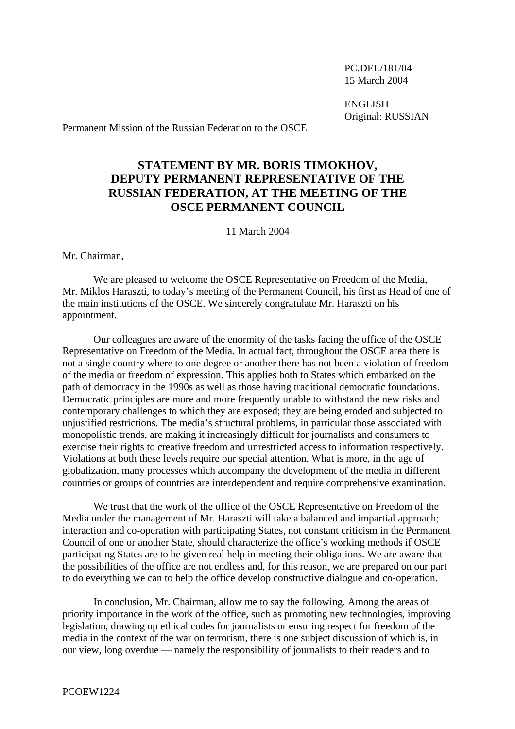PC.DEL/181/04 15 March 2004

ENGLISH Original: RUSSIAN

Permanent Mission of the Russian Federation to the OSCE

## **STATEMENT BY MR. BORIS TIMOKHOV, DEPUTY PERMANENT REPRESENTATIVE OF THE RUSSIAN FEDERATION, AT THE MEETING OF THE OSCE PERMANENT COUNCIL**

11 March 2004

Mr. Chairman,

We are pleased to welcome the OSCE Representative on Freedom of the Media, Mr. Miklos Haraszti, to today's meeting of the Permanent Council, his first as Head of one of the main institutions of the OSCE. We sincerely congratulate Mr. Haraszti on his appointment.

Our colleagues are aware of the enormity of the tasks facing the office of the OSCE Representative on Freedom of the Media. In actual fact, throughout the OSCE area there is not a single country where to one degree or another there has not been a violation of freedom of the media or freedom of expression. This applies both to States which embarked on the path of democracy in the 1990s as well as those having traditional democratic foundations. Democratic principles are more and more frequently unable to withstand the new risks and contemporary challenges to which they are exposed; they are being eroded and subjected to unjustified restrictions. The media's structural problems, in particular those associated with monopolistic trends, are making it increasingly difficult for journalists and consumers to exercise their rights to creative freedom and unrestricted access to information respectively. Violations at both these levels require our special attention. What is more, in the age of globalization, many processes which accompany the development of the media in different countries or groups of countries are interdependent and require comprehensive examination.

We trust that the work of the office of the OSCE Representative on Freedom of the Media under the management of Mr. Haraszti will take a balanced and impartial approach; interaction and co-operation with participating States, not constant criticism in the Permanent Council of one or another State, should characterize the office's working methods if OSCE participating States are to be given real help in meeting their obligations. We are aware that the possibilities of the office are not endless and, for this reason, we are prepared on our part to do everything we can to help the office develop constructive dialogue and co-operation.

In conclusion, Mr. Chairman, allow me to say the following. Among the areas of priority importance in the work of the office, such as promoting new technologies, improving legislation, drawing up ethical codes for journalists or ensuring respect for freedom of the media in the context of the war on terrorism, there is one subject discussion of which is, in our view, long overdue — namely the responsibility of journalists to their readers and to